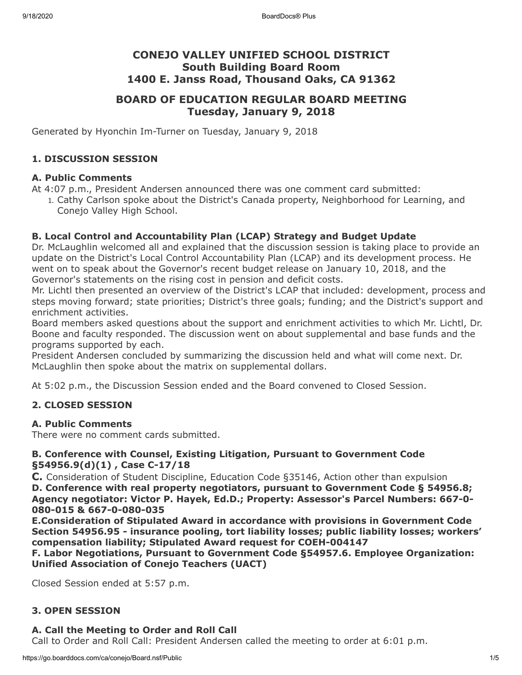# **CONEJO VALLEY UNIFIED SCHOOL DISTRICT South Building Board Room 1400 E. Janss Road, Thousand Oaks, CA 91362**

# **BOARD OF EDUCATION REGULAR BOARD MEETING Tuesday, January 9, 2018**

Generated by Hyonchin Im-Turner on Tuesday, January 9, 2018

# **1. DISCUSSION SESSION**

#### **A. Public Comments**

At 4:07 p.m., President Andersen announced there was one comment card submitted:

1. Cathy Carlson spoke about the District's Canada property, Neighborhood for Learning, and Conejo Valley High School.

#### **B. Local Control and Accountability Plan (LCAP) Strategy and Budget Update**

Dr. McLaughlin welcomed all and explained that the discussion session is taking place to provide an update on the District's Local Control Accountability Plan (LCAP) and its development process. He went on to speak about the Governor's recent budget release on January 10, 2018, and the Governor's statements on the rising cost in pension and deficit costs.

Mr. Lichtl then presented an overview of the District's LCAP that included: development, process and steps moving forward; state priorities; District's three goals; funding; and the District's support and enrichment activities.

Board members asked questions about the support and enrichment activities to which Mr. Lichtl, Dr. Boone and faculty responded. The discussion went on about supplemental and base funds and the programs supported by each.

President Andersen concluded by summarizing the discussion held and what will come next. Dr. McLaughlin then spoke about the matrix on supplemental dollars.

At 5:02 p.m., the Discussion Session ended and the Board convened to Closed Session.

#### **2. CLOSED SESSION**

#### **A. Public Comments**

There were no comment cards submitted.

#### **B. Conference with Counsel, Existing Litigation, Pursuant to Government Code §54956.9(d)(1) , Case C-17/18**

**C.** Consideration of Student Discipline, Education Code §35146, Action other than expulsion

**D. Conference with real property negotiators, pursuant to Government Code § 54956.8; Agency negotiator: Victor P. Hayek, Ed.D.; Property: Assessor's Parcel Numbers: 667-0- 080-015 & 667-0-080-035**

**E.Consideration of Stipulated Award in accordance with provisions in Government Code Section 54956.95 - insurance pooling, tort liability losses; public liability losses; workers' compensation liability; Stipulated Award request for COEH-004147**

**F. Labor Negotiations, Pursuant to Government Code §54957.6. Employee Organization: Unified Association of Conejo Teachers (UACT)**

Closed Session ended at 5:57 p.m.

#### **3. OPEN SESSION**

#### **A. Call the Meeting to Order and Roll Call**

Call to Order and Roll Call: President Andersen called the meeting to order at 6:01 p.m.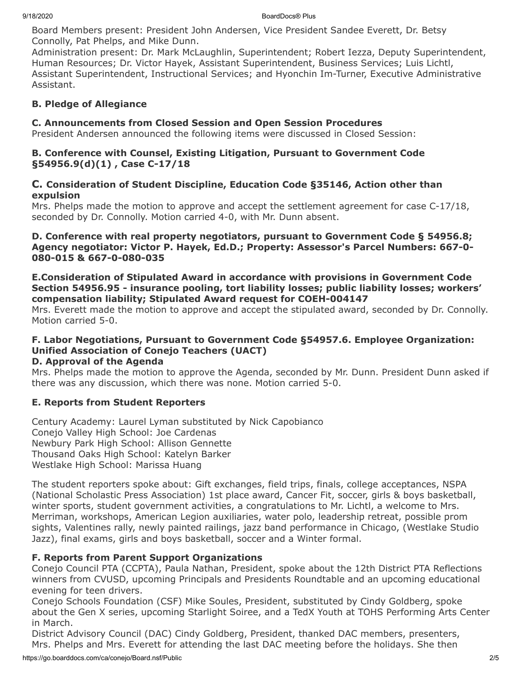Board Members present: President John Andersen, Vice President Sandee Everett, Dr. Betsy Connolly, Pat Phelps, and Mike Dunn.

Administration present: Dr. Mark McLaughlin, Superintendent; Robert Iezza, Deputy Superintendent, Human Resources; Dr. Victor Hayek, Assistant Superintendent, Business Services; Luis Lichtl, Assistant Superintendent, Instructional Services; and Hyonchin Im-Turner, Executive Administrative Assistant.

# **B. Pledge of Allegiance**

# **C. Announcements from Closed Session and Open Session Procedures**

President Andersen announced the following items were discussed in Closed Session:

### **B. Conference with Counsel, Existing Litigation, Pursuant to Government Code §54956.9(d)(1) , Case C-17/18**

### **C. Consideration of Student Discipline, Education Code §35146, Action other than expulsion**

Mrs. Phelps made the motion to approve and accept the settlement agreement for case C-17/18, seconded by Dr. Connolly. Motion carried 4-0, with Mr. Dunn absent.

### **D. Conference with real property negotiators, pursuant to Government Code § 54956.8; Agency negotiator: Victor P. Hayek, Ed.D.; Property: Assessor's Parcel Numbers: 667-0- 080-015 & 667-0-080-035**

#### **E.Consideration of Stipulated Award in accordance with provisions in Government Code Section 54956.95 - insurance pooling, tort liability losses; public liability losses; workers' compensation liability; Stipulated Award request for COEH-004147**

Mrs. Everett made the motion to approve and accept the stipulated award, seconded by Dr. Connolly. Motion carried 5-0.

# **F. Labor Negotiations, Pursuant to Government Code §54957.6. Employee Organization: Unified Association of Conejo Teachers (UACT)**

# **D. Approval of the Agenda**

Mrs. Phelps made the motion to approve the Agenda, seconded by Mr. Dunn. President Dunn asked if there was any discussion, which there was none. Motion carried 5-0.

# **E. Reports from Student Reporters**

Century Academy: Laurel Lyman substituted by Nick Capobianco Conejo Valley High School: Joe Cardenas Newbury Park High School: Allison Gennette Thousand Oaks High School: Katelyn Barker Westlake High School: Marissa Huang

The student reporters spoke about: Gift exchanges, field trips, finals, college acceptances, NSPA (National Scholastic Press Association) 1st place award, Cancer Fit, soccer, girls & boys basketball, winter sports, student government activities, a congratulations to Mr. Lichtl, a welcome to Mrs. Merriman, workshops, American Legion auxiliaries, water polo, leadership retreat, possible prom sights, Valentines rally, newly painted railings, jazz band performance in Chicago, (Westlake Studio Jazz), final exams, girls and boys basketball, soccer and a Winter formal.

# **F. Reports from Parent Support Organizations**

Conejo Council PTA (CCPTA), Paula Nathan, President, spoke about the 12th District PTA Reflections winners from CVUSD, upcoming Principals and Presidents Roundtable and an upcoming educational evening for teen drivers.

Conejo Schools Foundation (CSF) Mike Soules, President, substituted by Cindy Goldberg, spoke about the Gen X series, upcoming Starlight Soiree, and a TedX Youth at TOHS Performing Arts Center in March.

District Advisory Council (DAC) Cindy Goldberg, President, thanked DAC members, presenters, Mrs. Phelps and Mrs. Everett for attending the last DAC meeting before the holidays. She then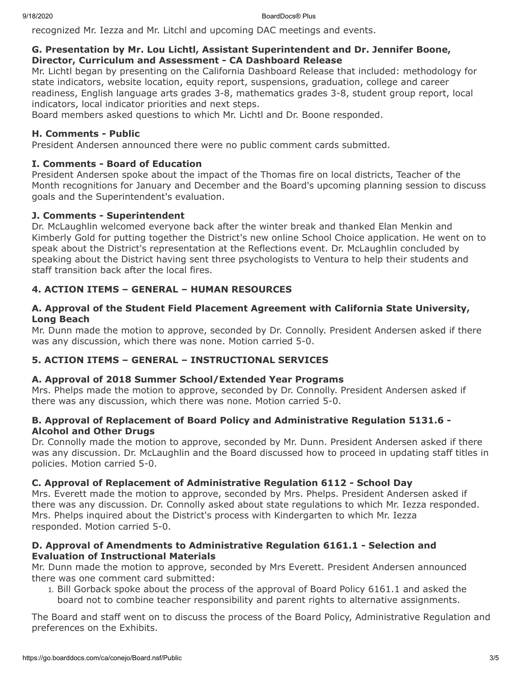recognized Mr. Iezza and Mr. Litchl and upcoming DAC meetings and events.

#### **G. Presentation by Mr. Lou Lichtl, Assistant Superintendent and Dr. Jennifer Boone, Director, Curriculum and Assessment - CA Dashboard Release**

Mr. Lichtl began by presenting on the California Dashboard Release that included: methodology for state indicators, website location, equity report, suspensions, graduation, college and career readiness, English language arts grades 3-8, mathematics grades 3-8, student group report, local indicators, local indicator priorities and next steps.

Board members asked questions to which Mr. Lichtl and Dr. Boone responded.

### **H. Comments - Public**

President Andersen announced there were no public comment cards submitted.

### **I. Comments - Board of Education**

President Andersen spoke about the impact of the Thomas fire on local districts, Teacher of the Month recognitions for January and December and the Board's upcoming planning session to discuss goals and the Superintendent's evaluation.

### **J. Comments - Superintendent**

Dr. McLaughlin welcomed everyone back after the winter break and thanked Elan Menkin and Kimberly Gold for putting together the District's new online School Choice application. He went on to speak about the District's representation at the Reflections event. Dr. McLaughlin concluded by speaking about the District having sent three psychologists to Ventura to help their students and staff transition back after the local fires.

# **4. ACTION ITEMS – GENERAL – HUMAN RESOURCES**

#### **A. Approval of the Student Field Placement Agreement with California State University, Long Beach**

Mr. Dunn made the motion to approve, seconded by Dr. Connolly. President Andersen asked if there was any discussion, which there was none. Motion carried 5-0.

# **5. ACTION ITEMS – GENERAL – INSTRUCTIONAL SERVICES**

# **A. Approval of 2018 Summer School/Extended Year Programs**

Mrs. Phelps made the motion to approve, seconded by Dr. Connolly. President Andersen asked if there was any discussion, which there was none. Motion carried 5-0.

### **B. Approval of Replacement of Board Policy and Administrative Regulation 5131.6 - Alcohol and Other Drugs**

Dr. Connolly made the motion to approve, seconded by Mr. Dunn. President Andersen asked if there was any discussion. Dr. McLaughlin and the Board discussed how to proceed in updating staff titles in policies. Motion carried 5-0.

# **C. Approval of Replacement of Administrative Regulation 6112 - School Day**

Mrs. Everett made the motion to approve, seconded by Mrs. Phelps. President Andersen asked if there was any discussion. Dr. Connolly asked about state regulations to which Mr. Iezza responded. Mrs. Phelps inquired about the District's process with Kindergarten to which Mr. Iezza responded. Motion carried 5-0.

### **D. Approval of Amendments to Administrative Regulation 6161.1 - Selection and Evaluation of Instructional Materials**

Mr. Dunn made the motion to approve, seconded by Mrs Everett. President Andersen announced there was one comment card submitted:

1. Bill Gorback spoke about the process of the approval of Board Policy 6161.1 and asked the board not to combine teacher responsibility and parent rights to alternative assignments.

The Board and staff went on to discuss the process of the Board Policy, Administrative Regulation and preferences on the Exhibits.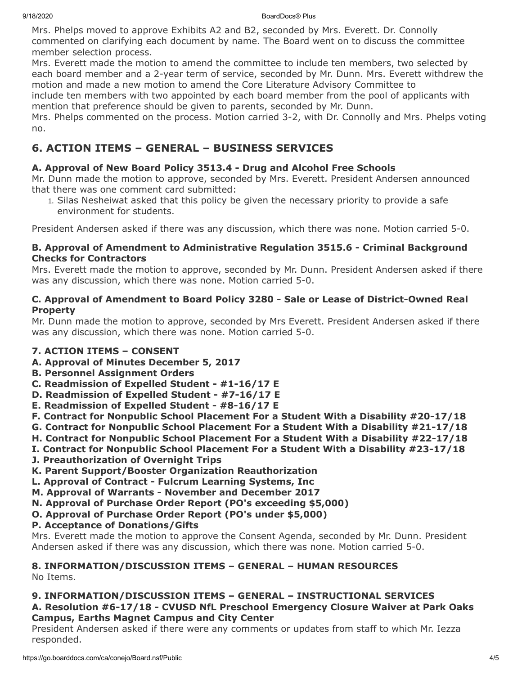Mrs. Phelps moved to approve Exhibits A2 and B2, seconded by Mrs. Everett. Dr. Connolly commented on clarifying each document by name. The Board went on to discuss the committee member selection process.

Mrs. Everett made the motion to amend the committee to include ten members, two selected by each board member and a 2-year term of service, seconded by Mr. Dunn. Mrs. Everett withdrew the motion and made a new motion to amend the Core Literature Advisory Committee to include ten members with two appointed by each board member from the pool of applicants with mention that preference should be given to parents, seconded by Mr. Dunn.

Mrs. Phelps commented on the process. Motion carried 3-2, with Dr. Connolly and Mrs. Phelps voting no.

# **6. ACTION ITEMS – GENERAL – BUSINESS SERVICES**

# **A. Approval of New Board Policy 3513.4 - Drug and Alcohol Free Schools**

Mr. Dunn made the motion to approve, seconded by Mrs. Everett. President Andersen announced that there was one comment card submitted:

1. Silas Nesheiwat asked that this policy be given the necessary priority to provide a safe environment for students.

President Andersen asked if there was any discussion, which there was none. Motion carried 5-0.

### **B. Approval of Amendment to Administrative Regulation 3515.6 - Criminal Background Checks for Contractors**

Mrs. Everett made the motion to approve, seconded by Mr. Dunn. President Andersen asked if there was any discussion, which there was none. Motion carried 5-0.

#### **C. Approval of Amendment to Board Policy 3280 - Sale or Lease of District-Owned Real Property**

Mr. Dunn made the motion to approve, seconded by Mrs Everett. President Andersen asked if there was any discussion, which there was none. Motion carried 5-0.

# **7. ACTION ITEMS – CONSENT**

- **A. Approval of Minutes December 5, 2017**
- **B. Personnel Assignment Orders**
- **C. Readmission of Expelled Student #1-16/17 E**
- **D. Readmission of Expelled Student #7-16/17 E**
- **E. Readmission of Expelled Student #8-16/17 E**
- **F. Contract for Nonpublic School Placement For a Student With a Disability #20-17/18**
- **G. Contract for Nonpublic School Placement For a Student With a Disability #21-17/18**
- **H. Contract for Nonpublic School Placement For a Student With a Disability #22-17/18**
- **I. Contract for Nonpublic School Placement For a Student With a Disability #23-17/18**
- **J. Preauthorization of Overnight Trips**
- **K. Parent Support/Booster Organization Reauthorization**
- **L. Approval of Contract Fulcrum Learning Systems, Inc**
- **M. Approval of Warrants November and December 2017**
- **N. Approval of Purchase Order Report (PO's exceeding \$5,000)**
- **O. Approval of Purchase Order Report (PO's under \$5,000)**
- **P. Acceptance of Donations/Gifts**

Mrs. Everett made the motion to approve the Consent Agenda, seconded by Mr. Dunn. President Andersen asked if there was any discussion, which there was none. Motion carried 5-0.

# **8. INFORMATION/DISCUSSION ITEMS – GENERAL – HUMAN RESOURCES**

No Items.

# **9. INFORMATION/DISCUSSION ITEMS – GENERAL – INSTRUCTIONAL SERVICES**

**A. Resolution #6-17/18 - CVUSD NfL Preschool Emergency Closure Waiver at Park Oaks Campus, Earths Magnet Campus and City Center**

President Andersen asked if there were any comments or updates from staff to which Mr. Iezza responded.